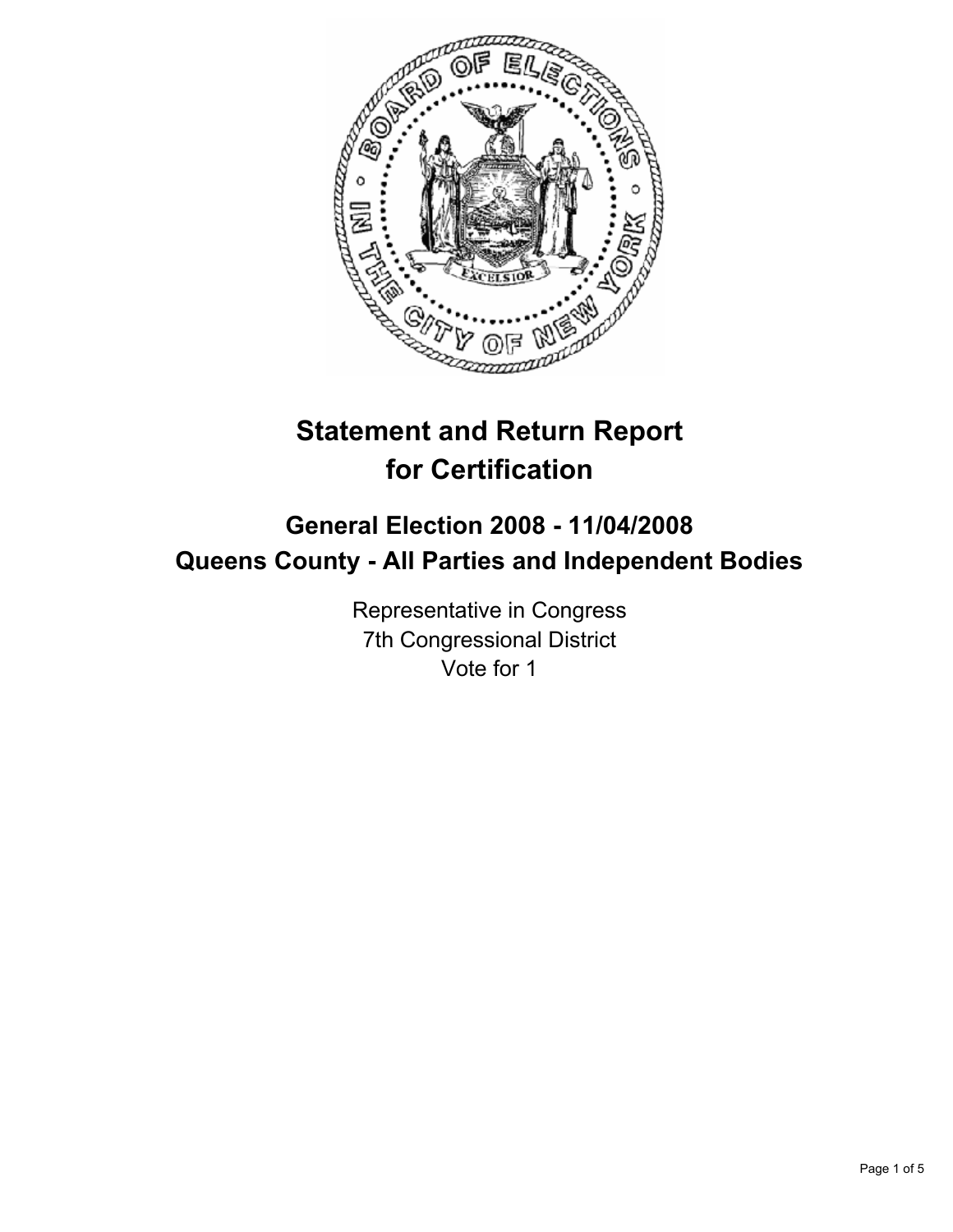

# **Statement and Return Report for Certification**

## **General Election 2008 - 11/04/2008 Queens County - All Parties and Independent Bodies**

Representative in Congress 7th Congressional District Vote for 1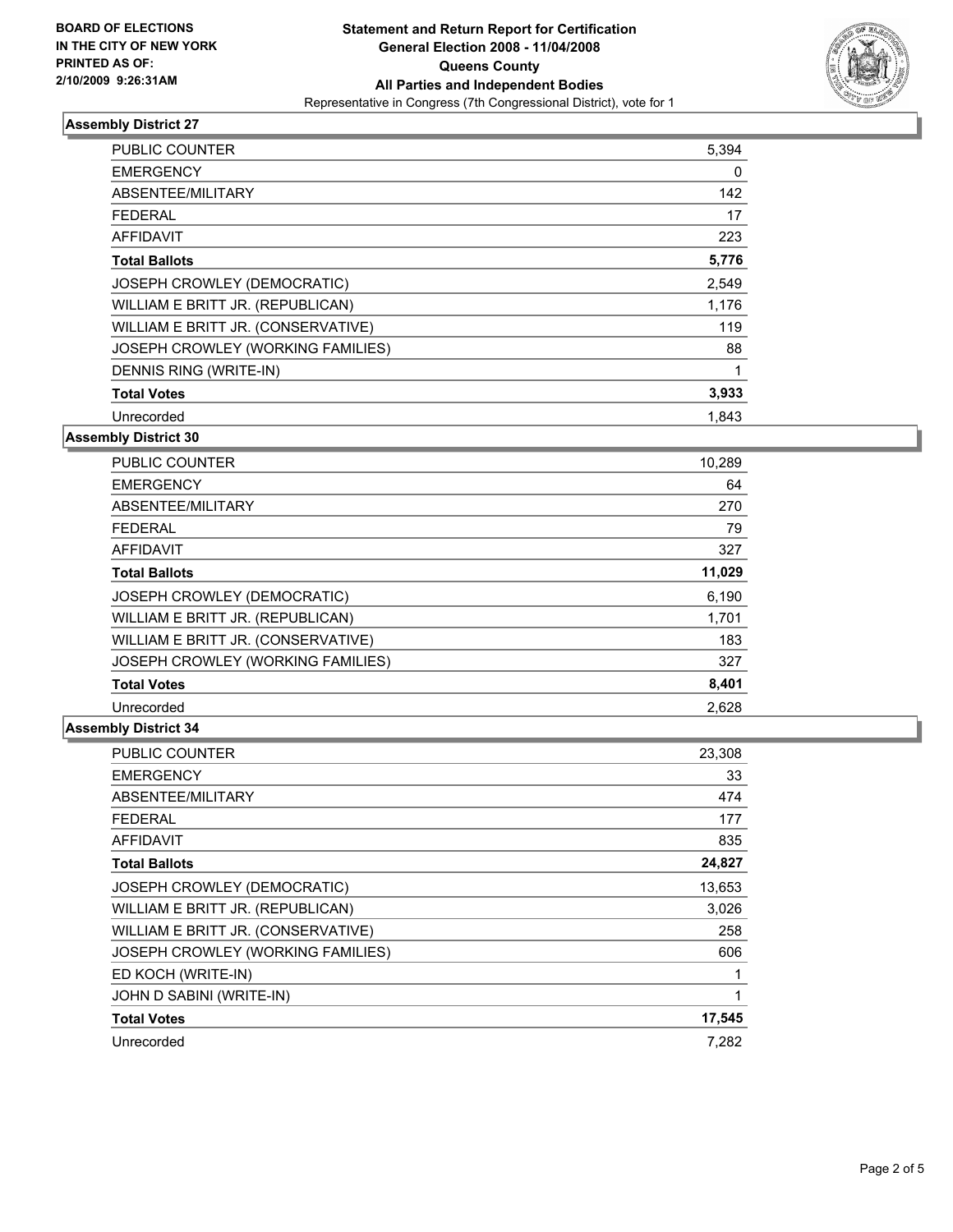

### **Assembly District 27**

| PUBLIC COUNTER                     | 5,394 |  |
|------------------------------------|-------|--|
| <b>EMERGENCY</b>                   | 0     |  |
| ABSENTEE/MILITARY                  | 142   |  |
| <b>FEDERAL</b>                     | 17    |  |
| AFFIDAVIT                          | 223   |  |
| <b>Total Ballots</b>               | 5,776 |  |
| JOSEPH CROWLEY (DEMOCRATIC)        | 2,549 |  |
| WILLIAM E BRITT JR. (REPUBLICAN)   | 1,176 |  |
| WILLIAM E BRITT JR. (CONSERVATIVE) | 119   |  |
| JOSEPH CROWLEY (WORKING FAMILIES)  | 88    |  |
| DENNIS RING (WRITE-IN)             |       |  |
| <b>Total Votes</b>                 | 3,933 |  |
| Unrecorded                         | 1.843 |  |

#### **Assembly District 30**

| <b>PUBLIC COUNTER</b>              | 10,289 |
|------------------------------------|--------|
| <b>EMERGENCY</b>                   | 64     |
| ABSENTEE/MILITARY                  | 270    |
| <b>FEDERAL</b>                     | 79     |
| <b>AFFIDAVIT</b>                   | 327    |
| <b>Total Ballots</b>               | 11,029 |
| JOSEPH CROWLEY (DEMOCRATIC)        | 6,190  |
| WILLIAM E BRITT JR. (REPUBLICAN)   | 1,701  |
| WILLIAM E BRITT JR. (CONSERVATIVE) | 183    |
| JOSEPH CROWLEY (WORKING FAMILIES)  | 327    |
| <b>Total Votes</b>                 | 8,401  |
| Unrecorded                         | 2,628  |

#### **Assembly District 34**

| <b>PUBLIC COUNTER</b>              | 23,308 |
|------------------------------------|--------|
| <b>EMERGENCY</b>                   | 33     |
| ABSENTEE/MILITARY                  | 474    |
| FEDERAL                            | 177    |
| <b>AFFIDAVIT</b>                   | 835    |
| <b>Total Ballots</b>               | 24,827 |
| JOSEPH CROWLEY (DEMOCRATIC)        | 13,653 |
| WILLIAM E BRITT JR. (REPUBLICAN)   | 3,026  |
| WILLIAM E BRITT JR. (CONSERVATIVE) | 258    |
| JOSEPH CROWLEY (WORKING FAMILIES)  | 606    |
| ED KOCH (WRITE-IN)                 |        |
| JOHN D SABINI (WRITE-IN)           |        |
| <b>Total Votes</b>                 | 17,545 |
| Unrecorded                         | 7.282  |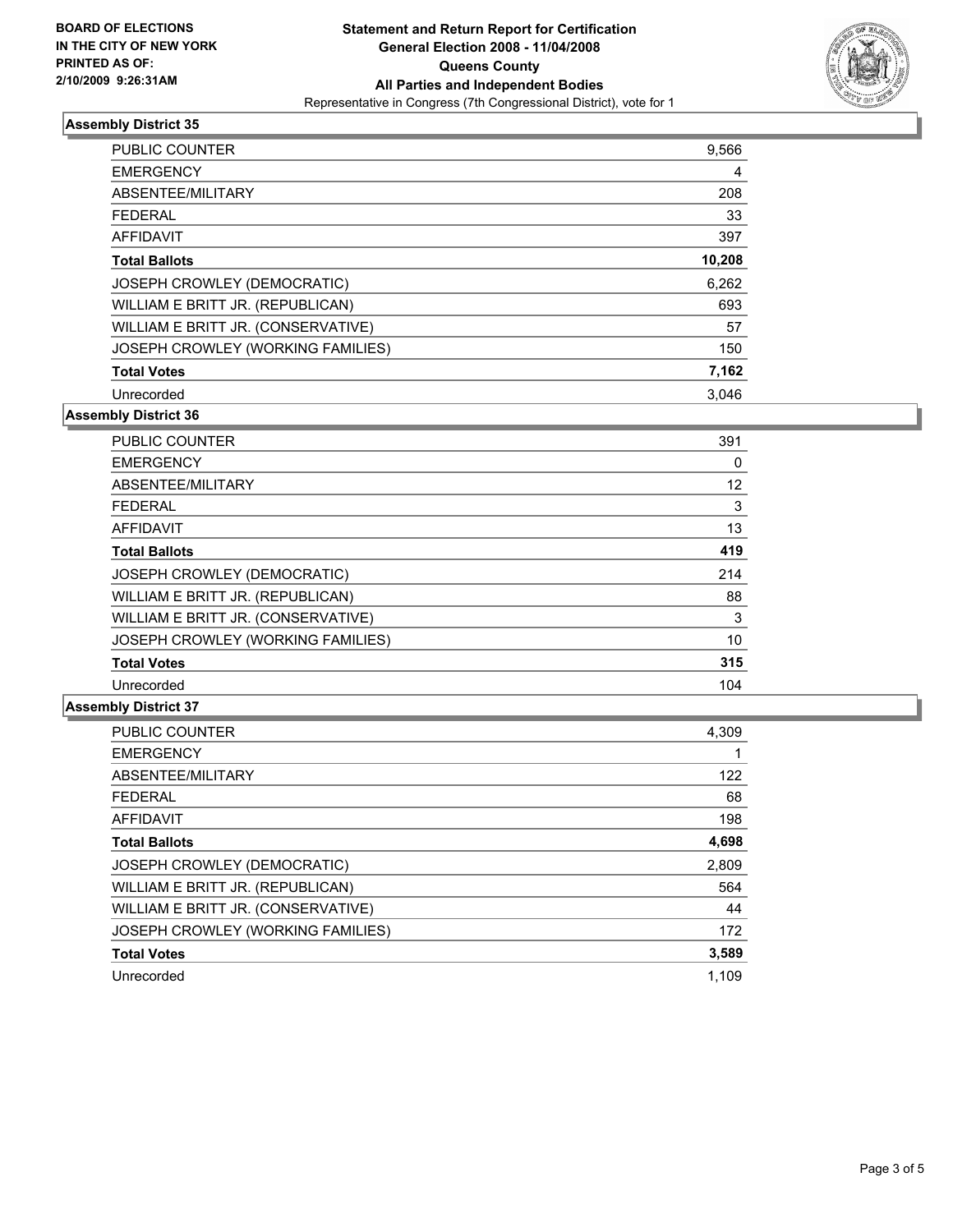

#### **Assembly District 35**

| <b>PUBLIC COUNTER</b>              | 9,566  |
|------------------------------------|--------|
| <b>EMERGENCY</b>                   | 4      |
| ABSENTEE/MILITARY                  | 208    |
| <b>FEDERAL</b>                     | 33     |
| AFFIDAVIT                          | 397    |
| <b>Total Ballots</b>               | 10,208 |
| JOSEPH CROWLEY (DEMOCRATIC)        | 6,262  |
| WILLIAM E BRITT JR. (REPUBLICAN)   | 693    |
| WILLIAM E BRITT JR. (CONSERVATIVE) | 57     |
| JOSEPH CROWLEY (WORKING FAMILIES)  | 150    |
| <b>Total Votes</b>                 | 7,162  |
| Unrecorded                         | 3.046  |

**Assembly District 36**

| <b>PUBLIC COUNTER</b>              | 391 |
|------------------------------------|-----|
| <b>EMERGENCY</b>                   | 0   |
| ABSENTEE/MILITARY                  | 12  |
| <b>FEDERAL</b>                     | 3   |
| <b>AFFIDAVIT</b>                   | 13  |
| <b>Total Ballots</b>               | 419 |
| JOSEPH CROWLEY (DEMOCRATIC)        | 214 |
| WILLIAM E BRITT JR. (REPUBLICAN)   | 88  |
| WILLIAM E BRITT JR. (CONSERVATIVE) | 3   |
| JOSEPH CROWLEY (WORKING FAMILIES)  | 10  |
| <b>Total Votes</b>                 | 315 |
| Unrecorded                         | 104 |

#### **Assembly District 37**

| PUBLIC COUNTER                     | 4,309 |
|------------------------------------|-------|
| <b>EMERGENCY</b>                   |       |
| ABSENTEE/MILITARY                  | 122   |
| <b>FEDERAL</b>                     | 68    |
| AFFIDAVIT                          | 198   |
| <b>Total Ballots</b>               | 4,698 |
| JOSEPH CROWLEY (DEMOCRATIC)        | 2,809 |
| WILLIAM E BRITT JR. (REPUBLICAN)   | 564   |
| WILLIAM E BRITT JR. (CONSERVATIVE) | 44    |
| JOSEPH CROWLEY (WORKING FAMILIES)  | 172   |
| <b>Total Votes</b>                 | 3,589 |
| Unrecorded                         | 1.109 |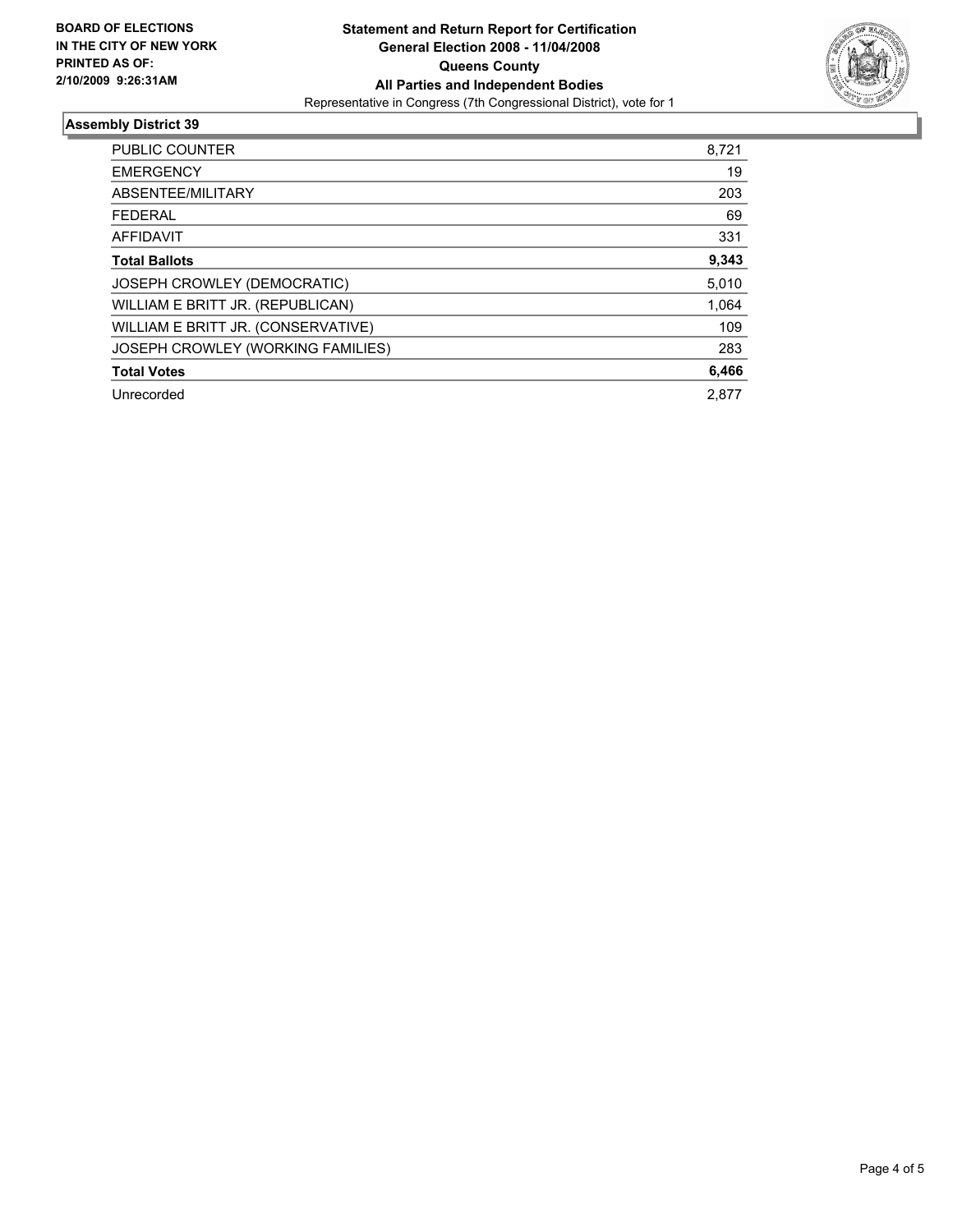

#### **Assembly District 39**

| PUBLIC COUNTER                     | 8,721 |
|------------------------------------|-------|
| <b>EMERGENCY</b>                   | 19    |
| ABSENTEE/MILITARY                  | 203   |
| <b>FEDERAL</b>                     | 69    |
| AFFIDAVIT                          | 331   |
| <b>Total Ballots</b>               | 9,343 |
| <b>JOSEPH CROWLEY (DEMOCRATIC)</b> | 5,010 |
| WILLIAM E BRITT JR. (REPUBLICAN)   | 1,064 |
| WILLIAM E BRITT JR. (CONSERVATIVE) | 109   |
| JOSEPH CROWLEY (WORKING FAMILIES)  | 283   |
| <b>Total Votes</b>                 | 6,466 |
| Unrecorded                         | 2.877 |